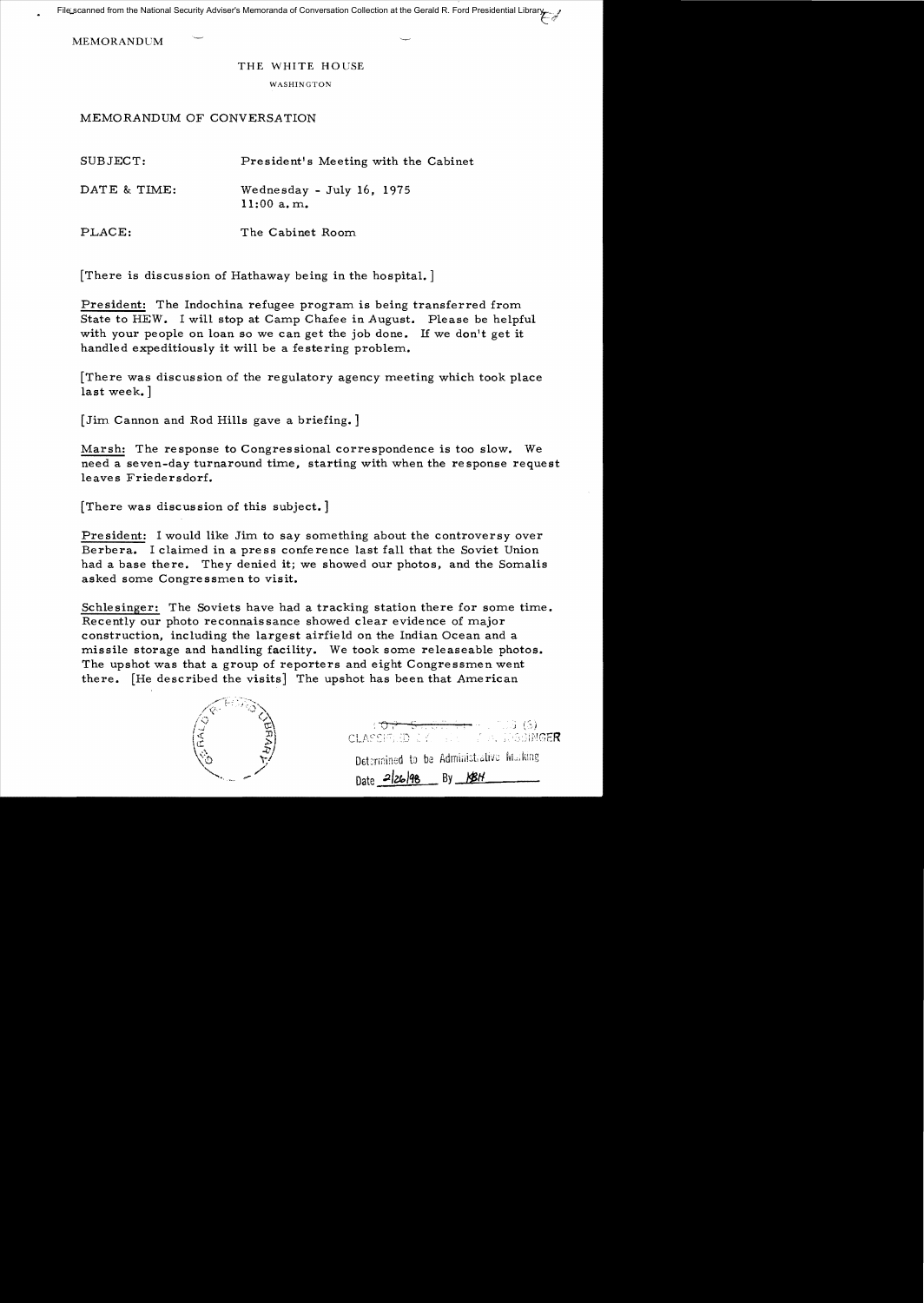File scanned from the National Security Adviser's Memoranda of Conversation Collection at the Gerald R. Ford Presidential Library

**MEMORANDUM** 

## THE WHITE HOUSE

## WASHINGTON

## MEMORANDUM OF CONVERSATION

| SUBJECT:     | President's Meeting with the Cabinet      |
|--------------|-------------------------------------------|
| DATE & TIME: | Wednesday - July 16, 1975<br>$11:00$ a.m. |
| PLACE:       | The Cabinet Room                          |

[There is discussion of Hathaway being in the hospital.]

President: The Indochina refugee program is being transferred from State to HEW. I will stop at Camp Chafee in August. Please be helpful with your people on loan so we can get the job done. 1£ we don't get **it**  handled expeditiously it will be a festering problem.

[There was discussion of the regulatory agency meeting which took place last week.]

[Jim Cannon and Rod Hills gave a briefing. ]

Marsh: The response to Congressional correspondence is too slow. We need a seven-day turnaround time, starting with when the re sponse request leaves Friedersdorf.

[There was discussion of this subject.]

President: I would like Jim to say something about the controversy over Berbera. I claimed in a pre ss confe rence last fall that the Soviet Union had a base there. They denied it; we showed our photos, and the Somalis asked some Congressmen to visit.

Schlesinger: The Soviets have had a tracking station there for some time. Recently our photo reconnaissance showed clear evidence of major construction, including the largest airfie ld on the Indian Ocean and a missile storage and handling facility. We took some releaseable photos. The upshot was that a group of reporters and eight Congressmen went there. [He described the visits] The upshot has been that American



**CLASSIFIED LIKE AT LEASE SECTION CONGER** Determined to be Administrative Murking Date  $-2/26/98$  By KBH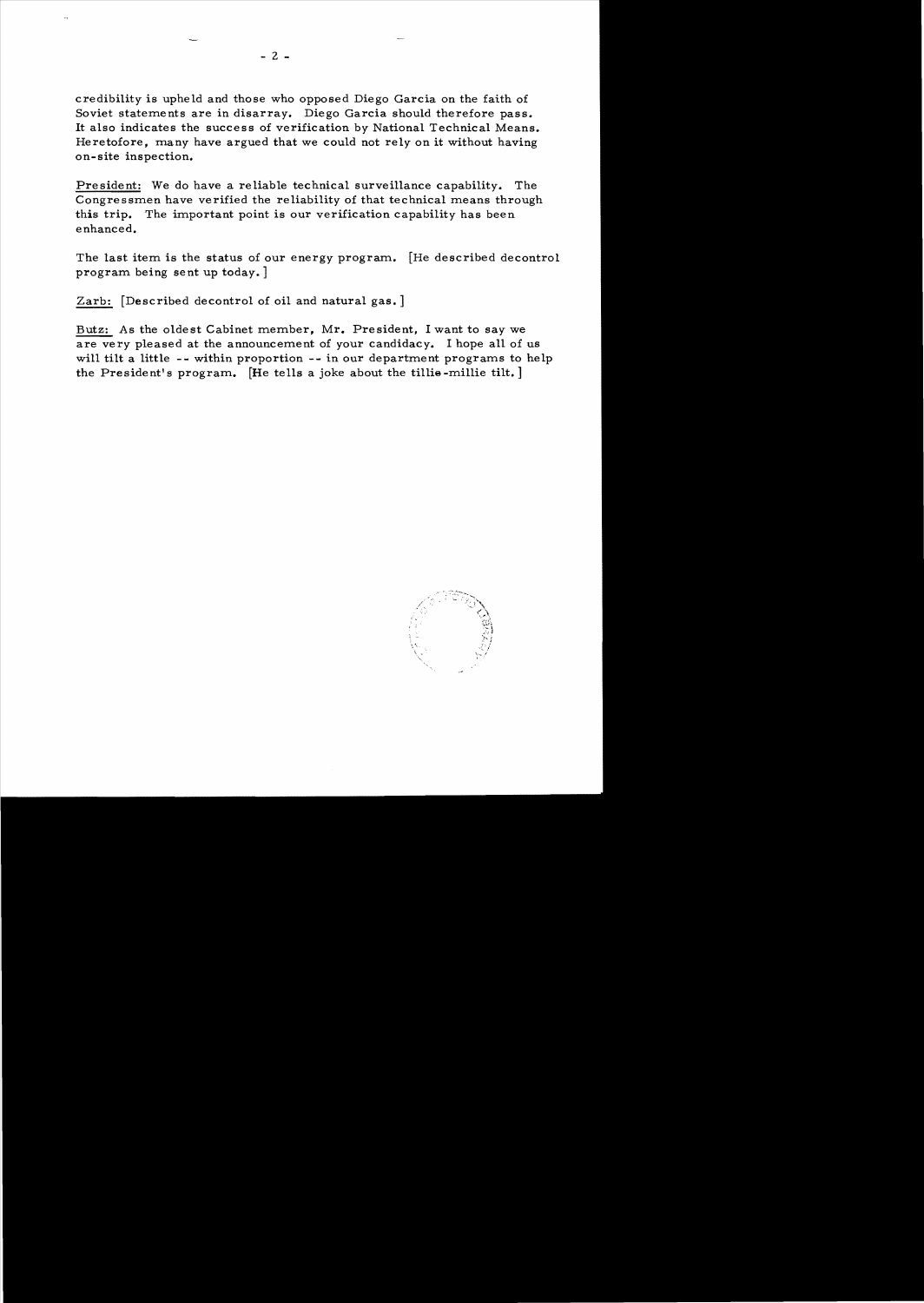credibility is upheld and those who opposed Diego Garcia on the faith of Soviet statements are in disarray. Diego Garcia should therefore pass. It also indicates the success of verification by National Technical Means. Heretofore, many have argued that we could not rely on it without having on-site inspection.

President: We do have a reliable technical surveillance capability. The Congressmen have verified the reliability of that technical means through this trip. The important point is our verification capability has been enhanced.

The last item is the status of our energy program. [He described decontrol program being sent up today. ]

Zarb: [Described decontrol of oil and natural gas. ]

Butz: As the oldest Cabinet member, Mr. President, I want to say we are very pleased at the announcement of your candidacy. I hope all of us will tilt a little **--** within proportion -- in our department programs to help the President's program. [He tells a joke about the tillie-millie tilt.]

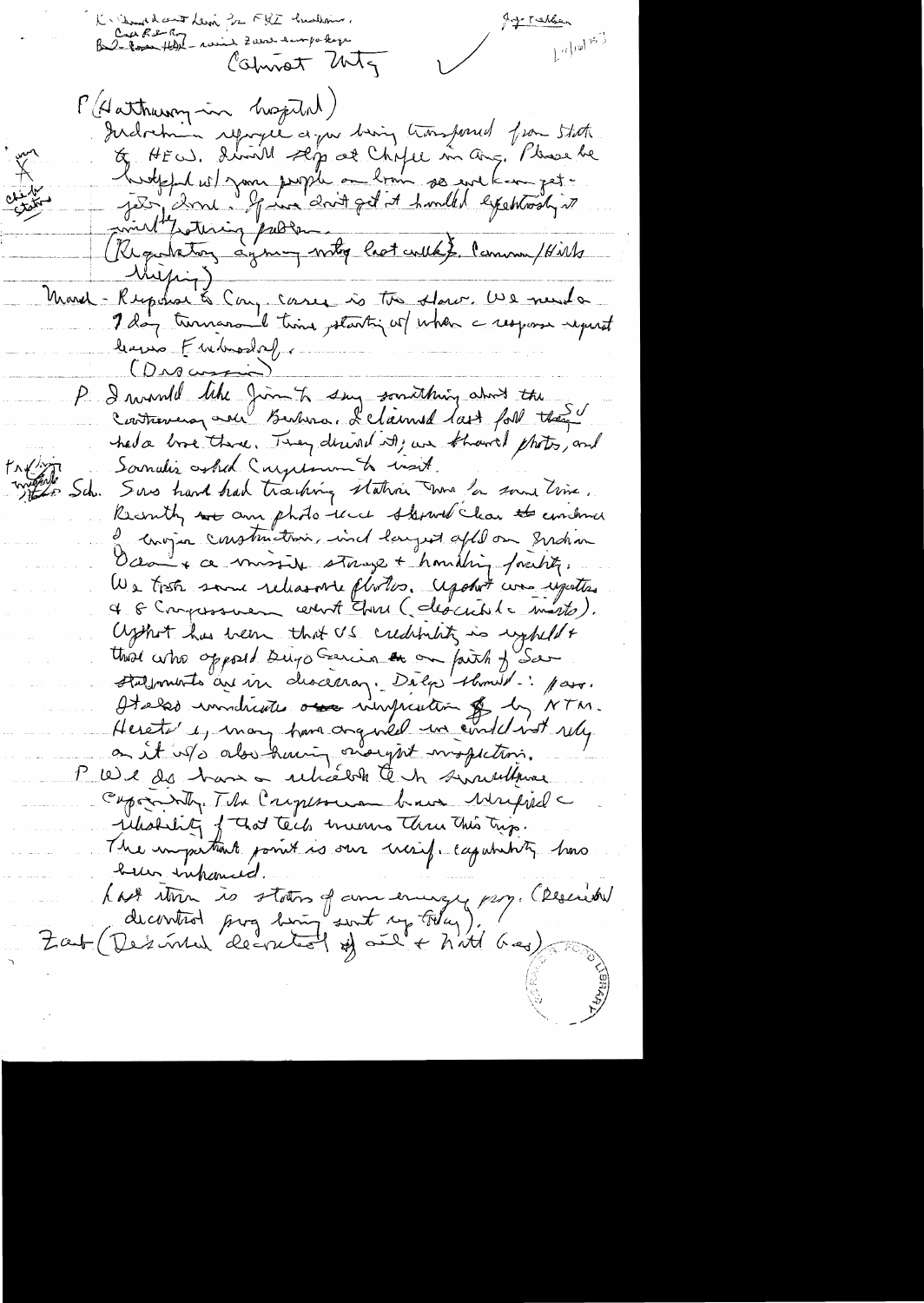K Samed cout Levi for FRI Sudann.<br>Cra Re Roy - roins Zans empo kep Jegy Talks  $L^{(1)}$ 10/753 Colmot MTg P (Aathering in hospital) Indochin repogne a par bion tronsformed from State E HEW. droit sep al Chife in aug. Please be<br>hutght w I your people on loom so we know get : (Regulatory symmy writing last week). Community With Muzing) March - Response à Cong cases is tre store. We need a leaves Fuebroslaf (Drocupie) P I wind like Jim to say somithing about the had a love there. They desired its, we known thats, and  $f \wedge f'$ Soundis asked Curpton to wait. montes Sch. Surs hard had tracking station was for some time. Recorning we am photo-lace themed clear to undone de congra construction, ind largest after on graham Octon + ce missile stange + homiting foresty. We tisk same releasante photos. Apothit was upatted 4 6 Compossivem certaint Character (celescribile marts). Uzhot has been that US creditminity in regheld + Halfmont à au vin descenaz. Déla demail. par Helse wondriette avec vinguation & by NTM. Hereto's, many have anguiled un evidel inst rely on it is also knowing only int mospetions. 1' We des hans a relixable tent sincerement Capamity The Captain brain Mappel relation of that tech means thru this trip. The important point is our treeif eagureting how beller inhanced. hast than is states of and ending pay. (Rescued<br>decorated pay borg sont of follow). (Rescued<br>Zaut (Des inted decretaint of and has) Rescript